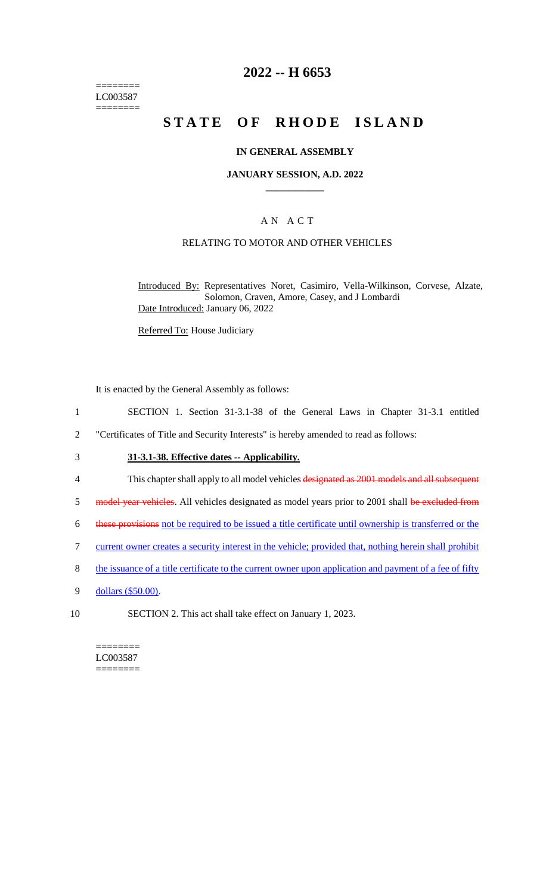======== LC003587 ========

## **2022 -- H 6653**

# **STATE OF RHODE ISLAND**

#### **IN GENERAL ASSEMBLY**

#### **JANUARY SESSION, A.D. 2022 \_\_\_\_\_\_\_\_\_\_\_\_**

#### A N A C T

#### RELATING TO MOTOR AND OTHER VEHICLES

Introduced By: Representatives Noret, Casimiro, Vella-Wilkinson, Corvese, Alzate, Solomon, Craven, Amore, Casey, and J Lombardi Date Introduced: January 06, 2022

Referred To: House Judiciary

It is enacted by the General Assembly as follows:

- 1 SECTION 1. Section 31-3.1-38 of the General Laws in Chapter 31-3.1 entitled
- 2 "Certificates of Title and Security Interests" is hereby amended to read as follows:
- 3 **31-3.1-38. Effective dates -- Applicability.**
- 4 This chapter shall apply to all model vehicles designated as 2001 models and all subsequent
- 5 model year vehicles. All vehicles designated as model years prior to 2001 shall be excluded from
- 6 these provisions not be required to be issued a title certificate until ownership is transferred or the
- 7 current owner creates a security interest in the vehicle; provided that, nothing herein shall prohibit
- 8 the issuance of a title certificate to the current owner upon application and payment of a fee of fifty
- 9 dollars (\$50.00).
- 10 SECTION 2. This act shall take effect on January 1, 2023.

======== LC003587 ========